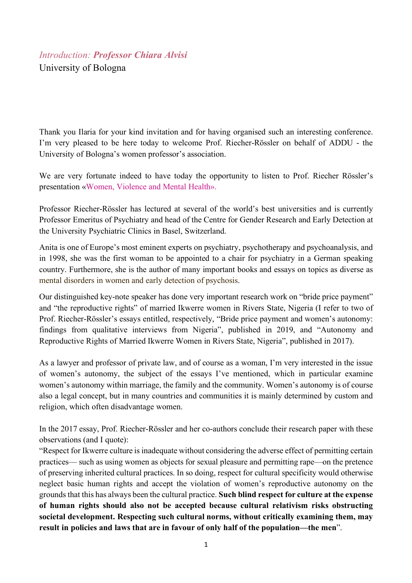## *Introduction: Professor Chiara Alvisi* University of Bologna

Thank you Ilaria for your kind invitation and for having organised such an interesting conference. I'm very pleased to be here today to welcome Prof. Riecher-Rössler on behalf of ADDU - the University of Bologna's women professor's association.

We are very fortunate indeed to have today the opportunity to listen to Prof. Riecher Rössler's presentation «Women, Violence and Mental Health».

Professor Riecher-Rössler has lectured at several of the world's best universities and is currently Professor Emeritus of Psychiatry and head of the Centre for Gender Research and Early Detection at the University Psychiatric Clinics in Basel, Switzerland.

Anita is one of Europe's most eminent experts on psychiatry, psychotherapy and psychoanalysis, and in 1998, she was the first woman to be appointed to a chair for psychiatry in a German speaking country. Furthermore, she is the author of many important books and essays on topics as diverse as mental disorders in women and early detection of psychosis.

Our distinguished key-note speaker has done very important research work on "bride price payment" and "the reproductive rights" of married Ikwerre women in Rivers State, Nigeria (I refer to two of Prof. Riecher-Rössler's essays entitled, respectively, "Bride price payment and women's autonomy: findings from qualitative interviews from Nigeria", published in 2019, and "Autonomy and Reproductive Rights of Married Ikwerre Women in Rivers State, Nigeria", published in 2017).

As a lawyer and professor of private law, and of course as a woman, I'm very interested in the issue of women's autonomy, the subject of the essays I've mentioned, which in particular examine women's autonomy within marriage, the family and the community. Women's autonomy is of course also a legal concept, but in many countries and communities it is mainly determined by custom and religion, which often disadvantage women.

In the 2017 essay, Prof. Riecher-Rössler and her co-authors conclude their research paper with these observations (and I quote):

"Respect for Ikwerre culture is inadequate without considering the adverse effect of permitting certain practices— such as using women as objects for sexual pleasure and permitting rape—on the pretence of preserving inherited cultural practices. In so doing, respect for cultural specificity would otherwise neglect basic human rights and accept the violation of women's reproductive autonomy on the grounds that this has always been the cultural practice. **Such blind respect for culture at the expense of human rights should also not be accepted because cultural relativism risks obstructing societal development. Respecting such cultural norms, without critically examining them, may result in policies and laws that are in favour of only half of the population—the men**".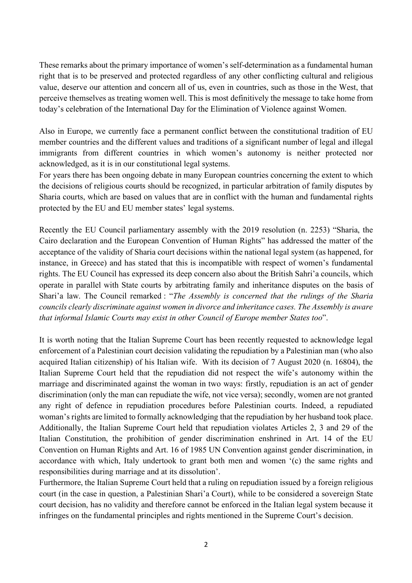These remarks about the primary importance of women's self-determination as a fundamental human right that is to be preserved and protected regardless of any other conflicting cultural and religious value, deserve our attention and concern all of us, even in countries, such as those in the West, that perceive themselves as treating women well. This is most definitively the message to take home from today's celebration of the International Day for the Elimination of Violence against Women.

Also in Europe, we currently face a permanent conflict between the constitutional tradition of EU member countries and the different values and traditions of a significant number of legal and illegal immigrants from different countries in which women's autonomy is neither protected nor acknowledged, as it is in our constitutional legal systems.

For years there has been ongoing debate in many European countries concerning the extent to which the decisions of religious courts should be recognized, in particular arbitration of family disputes by Sharia courts, which are based on values that are in conflict with the human and fundamental rights protected by the EU and EU member states' legal systems.

Recently the EU Council parliamentary assembly with the 2019 resolution (n. 2253) "Sharia, the Cairo declaration and the European Convention of Human Rights" has addressed the matter of the acceptance of the validity of Sharia court decisions within the national legal system (as happened, for instance, in Greece) and has stated that this is incompatible with respect of women's fundamental rights. The EU Council has expressed its deep concern also about the British Sahri'a councils, which operate in parallel with State courts by arbitrating family and inheritance disputes on the basis of Shari'a law. The Council remarked : "*The Assembly is concerned that the rulings of the Sharia councils clearly discriminate against women in divorce and inheritance cases. The Assembly is aware that informal Islamic Courts may exist in other Council of Europe member States too*".

It is worth noting that the Italian Supreme Court has been recently requested to acknowledge legal enforcement of a Palestinian court decision validating the repudiation by a Palestinian man (who also acquired Italian citizenship) of his Italian wife. With its decision of 7 August 2020 (n. 16804), the Italian Supreme Court held that the repudiation did not respect the wife's autonomy within the marriage and discriminated against the woman in two ways: firstly, repudiation is an act of gender discrimination (only the man can repudiate the wife, not vice versa); secondly, women are not granted any right of defence in repudiation procedures before Palestinian courts. Indeed, a repudiated woman's rights are limited to formally acknowledging that the repudiation by her husband took place. Additionally, the Italian Supreme Court held that repudiation violates Articles 2, 3 and 29 of the Italian Constitution, the prohibition of gender discrimination enshrined in Art. 14 of the EU Convention on Human Rights and Art. 16 of 1985 UN Convention against gender discrimination, in accordance with which, Italy undertook to grant both men and women '(c) the same rights and responsibilities during marriage and at its dissolution'.

Furthermore, the Italian Supreme Court held that a ruling on repudiation issued by a foreign religious court (in the case in question, a Palestinian Shari'a Court), while to be considered a sovereign State court decision, has no validity and therefore cannot be enforced in the Italian legal system because it infringes on the fundamental principles and rights mentioned in the Supreme Court's decision.